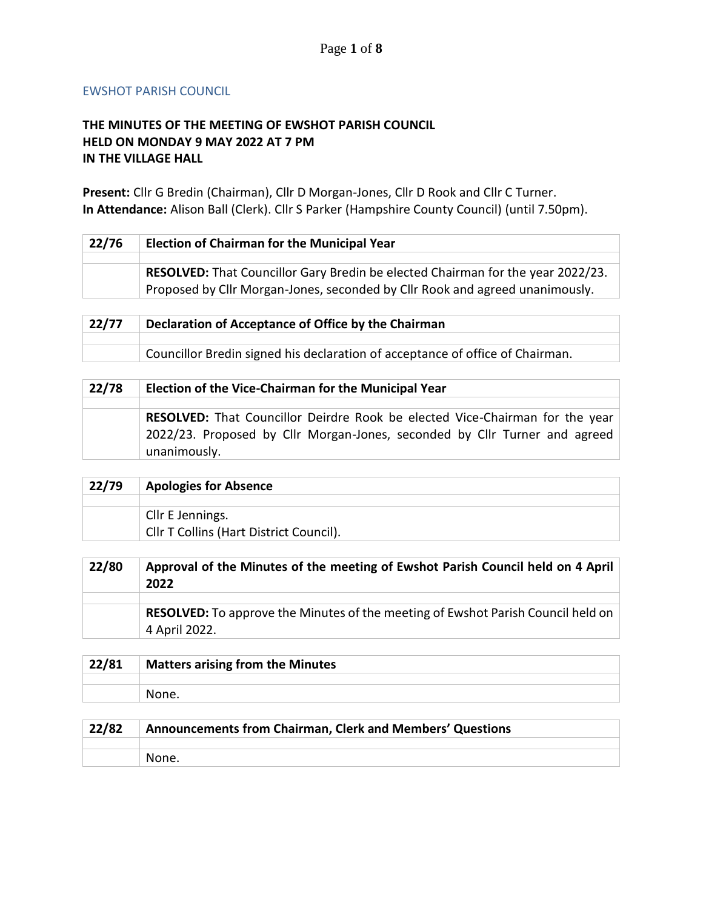## EWSHOT PARISH COUNCIL

## **THE MINUTES OF THE MEETING OF EWSHOT PARISH COUNCIL HELD ON MONDAY 9 MAY 2022 AT 7 PM IN THE VILLAGE HALL**

**Present:** Cllr G Bredin (Chairman), Cllr D Morgan-Jones, Cllr D Rook and Cllr C Turner. **In Attendance:** Alison Ball (Clerk). Cllr S Parker (Hampshire County Council) (until 7.50pm).

| 22/76 | <b>Election of Chairman for the Municipal Year</b>                              |
|-------|---------------------------------------------------------------------------------|
|       | RESOLVED: That Councillor Gary Bredin be elected Chairman for the year 2022/23. |
|       | Proposed by Cllr Morgan-Jones, seconded by Cllr Rook and agreed unanimously.    |

| 22/77 | Declaration of Acceptance of Office by the Chairman                           |
|-------|-------------------------------------------------------------------------------|
|       |                                                                               |
|       | Councillor Bredin signed his declaration of acceptance of office of Chairman. |

| 22/78 | Election of the Vice-Chairman for the Municipal Year                                                                                                       |
|-------|------------------------------------------------------------------------------------------------------------------------------------------------------------|
|       | RESOLVED: That Councillor Deirdre Rook be elected Vice-Chairman for the year<br>2022/23. Proposed by Cllr Morgan-Jones, seconded by Cllr Turner and agreed |
|       | unanimously.                                                                                                                                               |

| 22/79 | <b>Apologies for Absence</b>            |
|-------|-----------------------------------------|
|       |                                         |
|       | Cllr E Jennings.                        |
|       | Cllr T Collins (Hart District Council). |

| 22/80 | Approval of the Minutes of the meeting of Ewshot Parish Council held on 4 April<br>2022                  |
|-------|----------------------------------------------------------------------------------------------------------|
|       |                                                                                                          |
|       | <b>RESOLVED:</b> To approve the Minutes of the meeting of Ewshot Parish Council held on<br>4 April 2022. |

| 22/81 | Matters arising from the Minutes |
|-------|----------------------------------|
|       |                                  |
|       | None.                            |

| 22/82 | Announcements from Chairman, Clerk and Members' Questions |
|-------|-----------------------------------------------------------|
|       |                                                           |
|       | None.                                                     |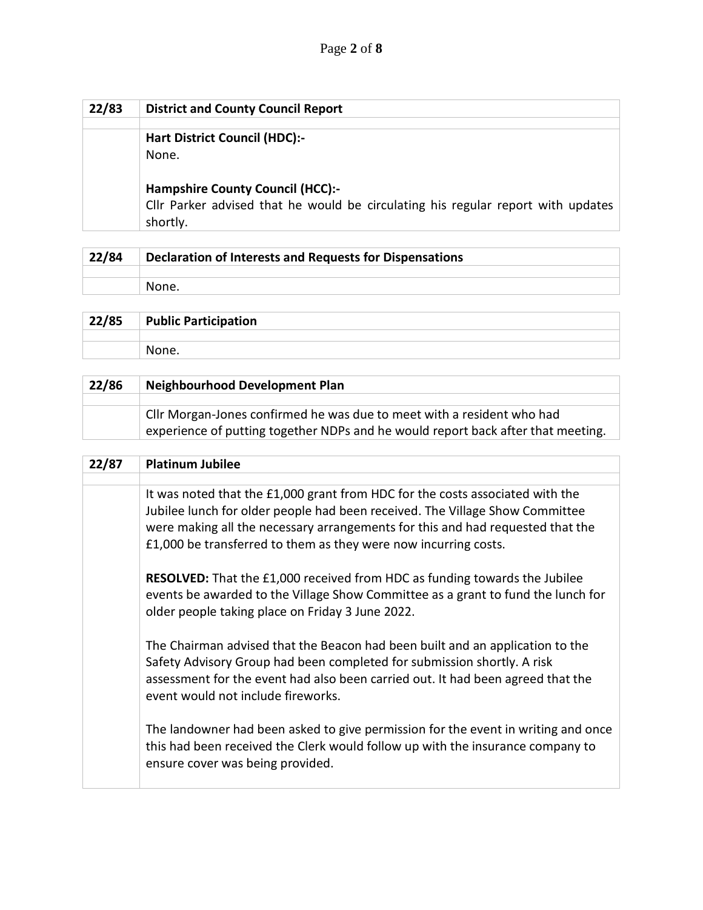| 22/83 | <b>District and County Council Report</b>                                                    |
|-------|----------------------------------------------------------------------------------------------|
|       |                                                                                              |
|       | <b>Hart District Council (HDC):-</b>                                                         |
|       | None.                                                                                        |
|       | <b>Hampshire County Council (HCC):-</b>                                                      |
|       | Cllr Parker advised that he would be circulating his regular report with updates<br>shortly. |

| 22/84 | Declaration of Interests and Requests for Dispensations |
|-------|---------------------------------------------------------|
|       |                                                         |
|       | None.                                                   |

| 22/85 | <b>Public Participation</b> |
|-------|-----------------------------|
|       |                             |
|       | None.                       |

| 22/86 | <b>Neighbourhood Development Plan</b>                                                                                                                      |
|-------|------------------------------------------------------------------------------------------------------------------------------------------------------------|
|       |                                                                                                                                                            |
|       | Cllr Morgan-Jones confirmed he was due to meet with a resident who had<br>experience of putting together NDPs and he would report back after that meeting. |

| 22/87 | <b>Platinum Jubilee</b>                                                                                                                                                                                                                                                                                            |
|-------|--------------------------------------------------------------------------------------------------------------------------------------------------------------------------------------------------------------------------------------------------------------------------------------------------------------------|
|       |                                                                                                                                                                                                                                                                                                                    |
|       | It was noted that the £1,000 grant from HDC for the costs associated with the<br>Jubilee lunch for older people had been received. The Village Show Committee<br>were making all the necessary arrangements for this and had requested that the<br>£1,000 be transferred to them as they were now incurring costs. |
|       | <b>RESOLVED:</b> That the £1,000 received from HDC as funding towards the Jubilee<br>events be awarded to the Village Show Committee as a grant to fund the lunch for<br>older people taking place on Friday 3 June 2022.                                                                                          |
|       | The Chairman advised that the Beacon had been built and an application to the<br>Safety Advisory Group had been completed for submission shortly. A risk<br>assessment for the event had also been carried out. It had been agreed that the<br>event would not include fireworks.                                  |
|       | The landowner had been asked to give permission for the event in writing and once<br>this had been received the Clerk would follow up with the insurance company to<br>ensure cover was being provided.                                                                                                            |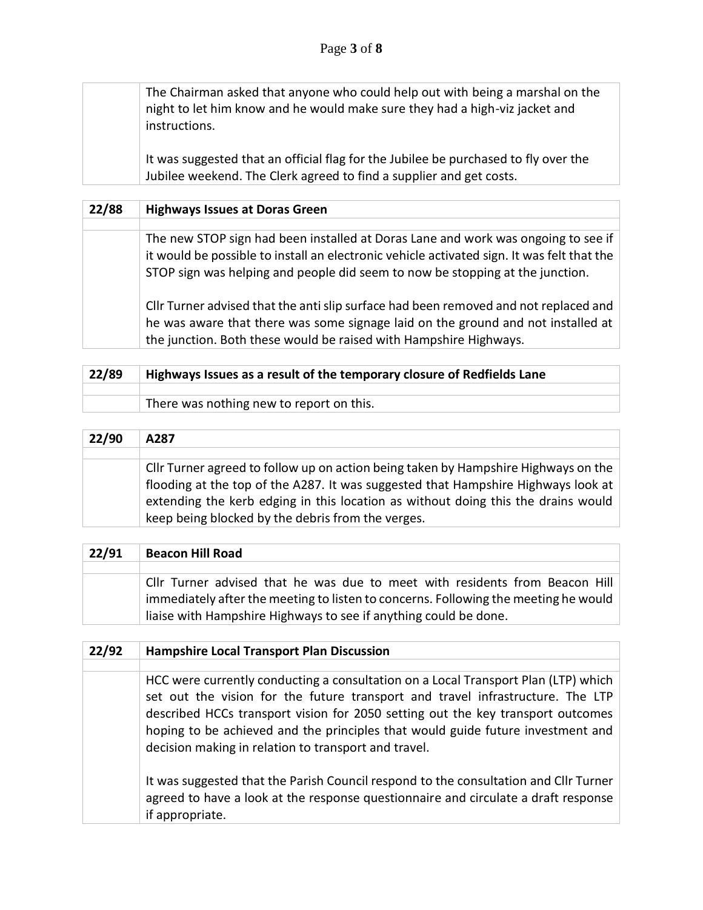The Chairman asked that anyone who could help out with being a marshal on the night to let him know and he would make sure they had a high-viz jacket and instructions.

It was suggested that an official flag for the Jubilee be purchased to fly over the Jubilee weekend. The Clerk agreed to find a supplier and get costs.

| 22/88 | <b>Highways Issues at Doras Green</b>                                                                                                                                                                                                                            |
|-------|------------------------------------------------------------------------------------------------------------------------------------------------------------------------------------------------------------------------------------------------------------------|
|       |                                                                                                                                                                                                                                                                  |
|       | The new STOP sign had been installed at Doras Lane and work was ongoing to see if<br>it would be possible to install an electronic vehicle activated sign. It was felt that the<br>STOP sign was helping and people did seem to now be stopping at the junction. |
|       | Cllr Turner advised that the anti slip surface had been removed and not replaced and<br>he was aware that there was some signage laid on the ground and not installed at<br>the junction. Both these would be raised with Hampshire Highways.                    |

| 22/89 | Highways Issues as a result of the temporary closure of Redfields Lane |  |  |  |
|-------|------------------------------------------------------------------------|--|--|--|
|       |                                                                        |  |  |  |
|       | There was nothing new to report on this.                               |  |  |  |
|       |                                                                        |  |  |  |

| 22/90 | A287                                                                                                                                                                                                                                                                                                              |
|-------|-------------------------------------------------------------------------------------------------------------------------------------------------------------------------------------------------------------------------------------------------------------------------------------------------------------------|
|       |                                                                                                                                                                                                                                                                                                                   |
|       | Cllr Turner agreed to follow up on action being taken by Hampshire Highways on the<br>flooding at the top of the A287. It was suggested that Hampshire Highways look at<br>extending the kerb edging in this location as without doing this the drains would<br>keep being blocked by the debris from the verges. |

| 22/91 | <b>Beacon Hill Road</b>                                                                                                                                                                                                                |
|-------|----------------------------------------------------------------------------------------------------------------------------------------------------------------------------------------------------------------------------------------|
|       |                                                                                                                                                                                                                                        |
|       | CIIr Turner advised that he was due to meet with residents from Beacon Hill<br>immediately after the meeting to listen to concerns. Following the meeting he would<br>liaise with Hampshire Highways to see if anything could be done. |

| 22/92 | <b>Hampshire Local Transport Plan Discussion</b>                                                                                                                                                                                                                                                                                                                                                   |  |  |  |  |
|-------|----------------------------------------------------------------------------------------------------------------------------------------------------------------------------------------------------------------------------------------------------------------------------------------------------------------------------------------------------------------------------------------------------|--|--|--|--|
|       |                                                                                                                                                                                                                                                                                                                                                                                                    |  |  |  |  |
|       | HCC were currently conducting a consultation on a Local Transport Plan (LTP) which<br>set out the vision for the future transport and travel infrastructure. The LTP<br>described HCCs transport vision for 2050 setting out the key transport outcomes<br>hoping to be achieved and the principles that would guide future investment and<br>decision making in relation to transport and travel. |  |  |  |  |
|       | It was suggested that the Parish Council respond to the consultation and Cllr Turner<br>agreed to have a look at the response questionnaire and circulate a draft response<br>if appropriate.                                                                                                                                                                                                      |  |  |  |  |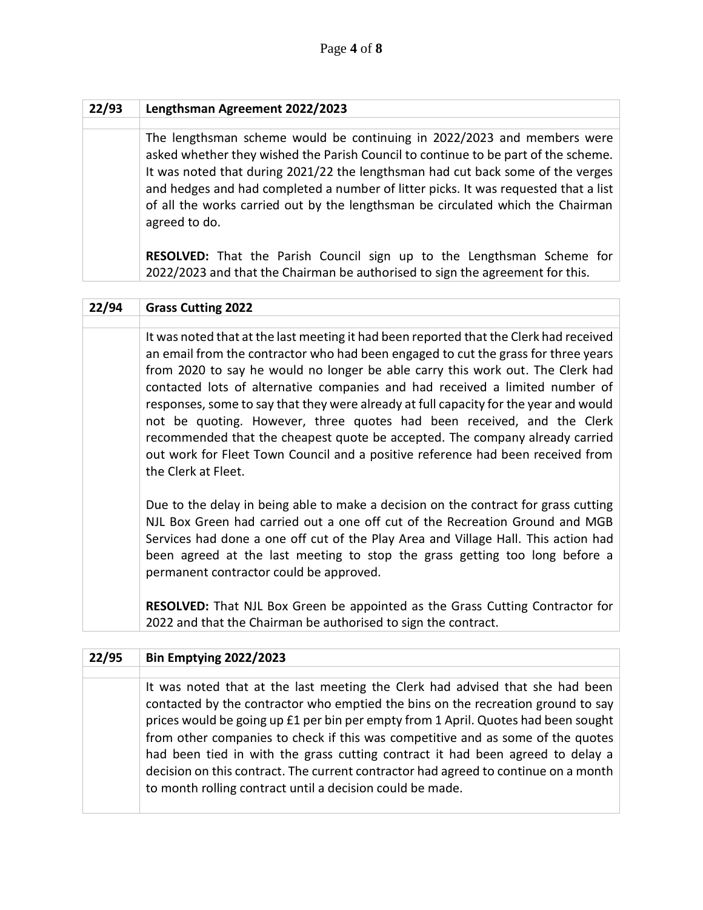| 22/93 | Lengthsman Agreement 2022/2023                                                                                                                                                                                                                                                                                                                                                                                                              |
|-------|---------------------------------------------------------------------------------------------------------------------------------------------------------------------------------------------------------------------------------------------------------------------------------------------------------------------------------------------------------------------------------------------------------------------------------------------|
|       |                                                                                                                                                                                                                                                                                                                                                                                                                                             |
|       | The lengthsman scheme would be continuing in 2022/2023 and members were<br>asked whether they wished the Parish Council to continue to be part of the scheme.<br>It was noted that during 2021/22 the lengthsman had cut back some of the verges<br>and hedges and had completed a number of litter picks. It was requested that a list<br>of all the works carried out by the lengthsman be circulated which the Chairman<br>agreed to do. |
|       | <b>RESOLVED:</b> That the Parish Council sign up to the Lengthsman Scheme for<br>2022/2023 and that the Chairman be authorised to sign the agreement for this.                                                                                                                                                                                                                                                                              |

## **22/94 Grass Cutting 2022**

It was noted that at the last meeting it had been reported that the Clerk had received an email from the contractor who had been engaged to cut the grass for three years from 2020 to say he would no longer be able carry this work out. The Clerk had contacted lots of alternative companies and had received a limited number of responses, some to say that they were already at full capacity for the year and would not be quoting. However, three quotes had been received, and the Clerk recommended that the cheapest quote be accepted. The company already carried out work for Fleet Town Council and a positive reference had been received from the Clerk at Fleet.

Due to the delay in being able to make a decision on the contract for grass cutting NJL Box Green had carried out a one off cut of the Recreation Ground and MGB Services had done a one off cut of the Play Area and Village Hall. This action had been agreed at the last meeting to stop the grass getting too long before a permanent contractor could be approved.

**RESOLVED:** That NJL Box Green be appointed as the Grass Cutting Contractor for 2022 and that the Chairman be authorised to sign the contract.

| 22/95 | <b>Bin Emptying 2022/2023</b>                                                                                                                                                                                                                                                                                                                                                                                                                                                                                                                                                    |
|-------|----------------------------------------------------------------------------------------------------------------------------------------------------------------------------------------------------------------------------------------------------------------------------------------------------------------------------------------------------------------------------------------------------------------------------------------------------------------------------------------------------------------------------------------------------------------------------------|
|       |                                                                                                                                                                                                                                                                                                                                                                                                                                                                                                                                                                                  |
|       | It was noted that at the last meeting the Clerk had advised that she had been<br>contacted by the contractor who emptied the bins on the recreation ground to say<br>prices would be going up £1 per bin per empty from 1 April. Quotes had been sought<br>from other companies to check if this was competitive and as some of the quotes<br>had been tied in with the grass cutting contract it had been agreed to delay a<br>decision on this contract. The current contractor had agreed to continue on a month<br>to month rolling contract until a decision could be made. |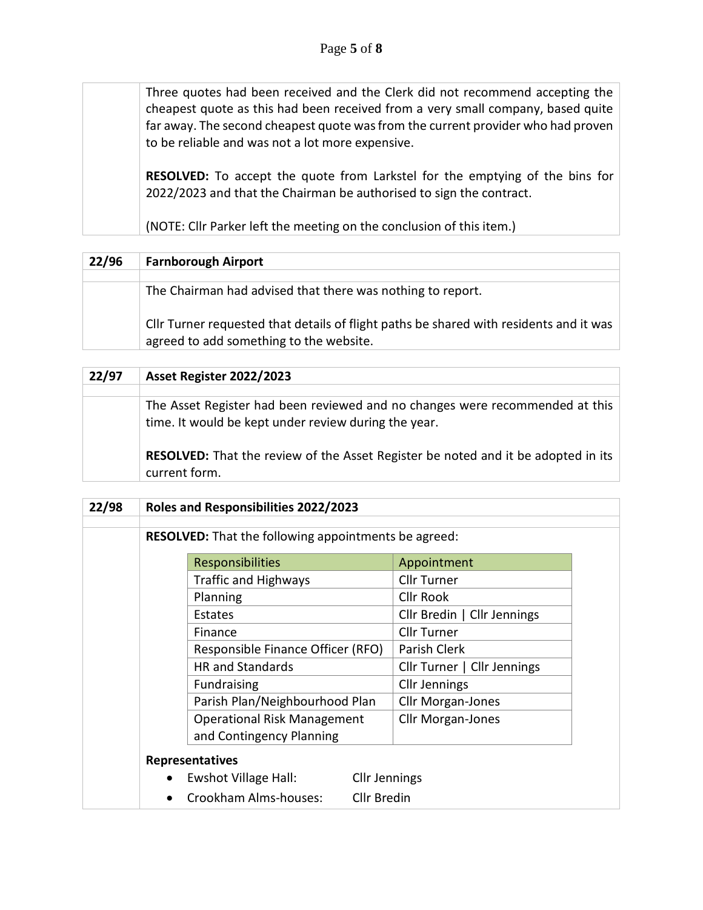Three quotes had been received and the Clerk did not recommend accepting the cheapest quote as this had been received from a very small company, based quite far away. The second cheapest quote was from the current provider who had proven to be reliable and was not a lot more expensive.

**RESOLVED:** To accept the quote from Larkstel for the emptying of the bins for 2022/2023 and that the Chairman be authorised to sign the contract.

(NOTE: Cllr Parker left the meeting on the conclusion of this item.)

| 22/96 | <b>Farnborough Airport</b>                                                                                                        |
|-------|-----------------------------------------------------------------------------------------------------------------------------------|
|       |                                                                                                                                   |
|       | The Chairman had advised that there was nothing to report.                                                                        |
|       | CIIr Turner requested that details of flight paths be shared with residents and it was<br>agreed to add something to the website. |

| 22/97 | Asset Register 2022/2023                                                                                                             |  |  |  |
|-------|--------------------------------------------------------------------------------------------------------------------------------------|--|--|--|
|       |                                                                                                                                      |  |  |  |
|       | The Asset Register had been reviewed and no changes were recommended at this<br>time. It would be kept under review during the year. |  |  |  |
|       | <b>RESOLVED:</b> That the review of the Asset Register be noted and it be adopted in its<br>current form.                            |  |  |  |

| 22/98 | Roles and Responsibilities 2022/2023 |                                                             |                      |                             |  |
|-------|--------------------------------------|-------------------------------------------------------------|----------------------|-----------------------------|--|
|       |                                      | <b>RESOLVED:</b> That the following appointments be agreed: |                      |                             |  |
|       |                                      | <b>Responsibilities</b>                                     |                      | Appointment                 |  |
|       |                                      | <b>Traffic and Highways</b>                                 |                      | <b>Cllr Turner</b>          |  |
|       |                                      | Planning                                                    |                      | <b>Cllr Rook</b>            |  |
|       |                                      | Estates                                                     |                      | Cllr Bredin   Cllr Jennings |  |
|       |                                      | Finance                                                     |                      | Cllr Turner                 |  |
|       |                                      | Responsible Finance Officer (RFO)                           |                      | Parish Clerk                |  |
|       |                                      | <b>HR</b> and Standards                                     |                      | Cllr Turner   Cllr Jennings |  |
|       |                                      | <b>Fundraising</b>                                          |                      | <b>Cllr Jennings</b>        |  |
|       |                                      | Parish Plan/Neighbourhood Plan                              |                      | <b>Cllr Morgan-Jones</b>    |  |
|       |                                      | <b>Operational Risk Management</b>                          |                      | <b>Cllr Morgan-Jones</b>    |  |
|       |                                      | and Contingency Planning                                    |                      |                             |  |
|       |                                      | <b>Representatives</b>                                      |                      |                             |  |
|       |                                      | Ewshot Village Hall:                                        | <b>Cllr Jennings</b> |                             |  |
|       |                                      | Crookham Alms-houses:                                       | <b>Cllr Bredin</b>   |                             |  |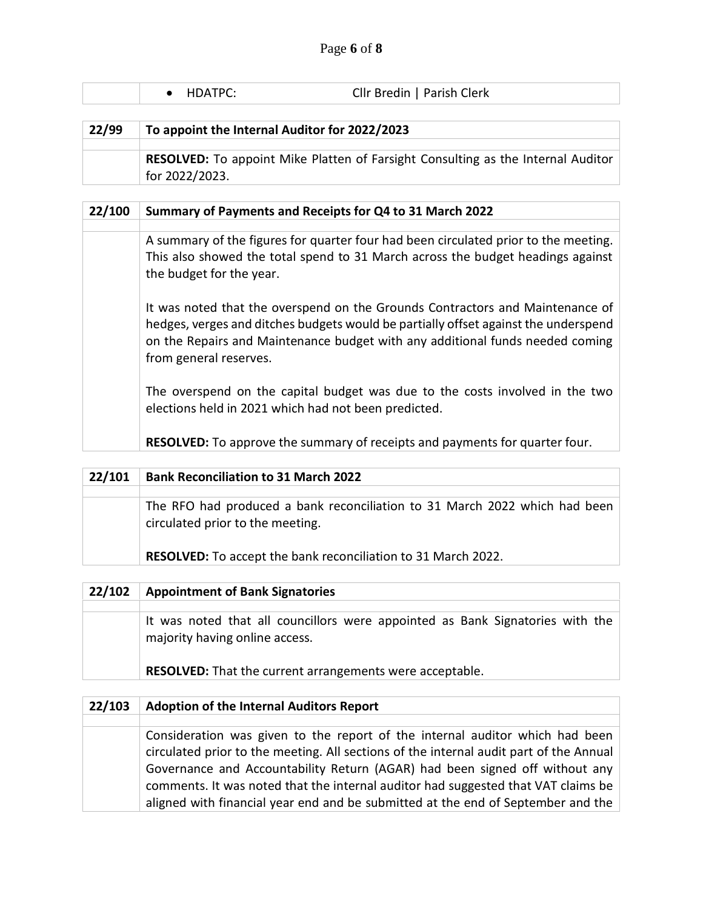| $\bullet$ HDATPC: | Cllr Bredin   Parish Clerk |  |
|-------------------|----------------------------|--|
|                   |                            |  |

| 22/99 | To appoint the Internal Auditor for 2022/2023                                           |  |  |
|-------|-----------------------------------------------------------------------------------------|--|--|
|       |                                                                                         |  |  |
|       | <b>RESOLVED:</b> To appoint Mike Platten of Farsight Consulting as the Internal Auditor |  |  |
|       | for 2022/2023.                                                                          |  |  |

| 22/100 | Summary of Payments and Receipts for Q4 to 31 March 2022                                                                                                                                                                                                                        |
|--------|---------------------------------------------------------------------------------------------------------------------------------------------------------------------------------------------------------------------------------------------------------------------------------|
|        |                                                                                                                                                                                                                                                                                 |
|        | A summary of the figures for quarter four had been circulated prior to the meeting.<br>This also showed the total spend to 31 March across the budget headings against<br>the budget for the year.                                                                              |
|        | It was noted that the overspend on the Grounds Contractors and Maintenance of<br>hedges, verges and ditches budgets would be partially offset against the underspend<br>on the Repairs and Maintenance budget with any additional funds needed coming<br>from general reserves. |
|        | The overspend on the capital budget was due to the costs involved in the two<br>elections held in 2021 which had not been predicted.                                                                                                                                            |
|        | <b>RESOLVED:</b> To approve the summary of receipts and payments for quarter four.                                                                                                                                                                                              |

| 22/101 | <b>Bank Reconciliation to 31 March 2022</b>                                                                    |
|--------|----------------------------------------------------------------------------------------------------------------|
|        |                                                                                                                |
|        | The RFO had produced a bank reconciliation to 31 March 2022 which had been<br>circulated prior to the meeting. |
|        | RESOLVED: To accept the bank reconciliation to 31 March 2022.                                                  |
|        |                                                                                                                |

| 22/102 | <b>Appointment of Bank Signatories</b>                                                                                                                                             |
|--------|------------------------------------------------------------------------------------------------------------------------------------------------------------------------------------|
|        |                                                                                                                                                                                    |
|        | It was noted that all councillors were appointed as Bank Signatories with the<br>majority having online access.<br><b>RESOLVED:</b> That the current arrangements were acceptable. |
|        |                                                                                                                                                                                    |
|        |                                                                                                                                                                                    |

| 22/103 | <b>Adoption of the Internal Auditors Report</b>                                        |
|--------|----------------------------------------------------------------------------------------|
|        |                                                                                        |
|        | Consideration was given to the report of the internal auditor which had been           |
|        | circulated prior to the meeting. All sections of the internal audit part of the Annual |
|        | Governance and Accountability Return (AGAR) had been signed off without any            |
|        | comments. It was noted that the internal auditor had suggested that VAT claims be      |
|        | aligned with financial year end and be submitted at the end of September and the       |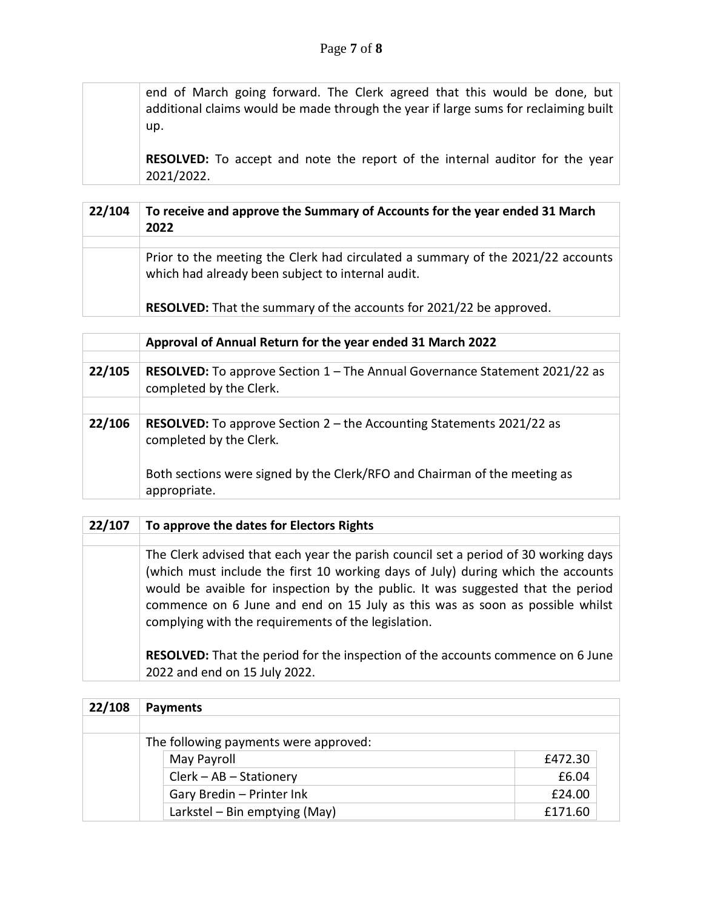end of March going forward. The Clerk agreed that this would be done, but additional claims would be made through the year if large sums for reclaiming built up.

**RESOLVED:** To accept and note the report of the internal auditor for the year 2021/2022.

| 22/104 | To receive and approve the Summary of Accounts for the year ended 31 March<br>2022                                                   |
|--------|--------------------------------------------------------------------------------------------------------------------------------------|
|        |                                                                                                                                      |
|        | Prior to the meeting the Clerk had circulated a summary of the 2021/22 accounts<br>which had already been subject to internal audit. |
|        | RESOLVED: That the summary of the accounts for 2021/22 be approved.                                                                  |

|        | Approval of Annual Return for the year ended 31 March 2022                                             |
|--------|--------------------------------------------------------------------------------------------------------|
|        |                                                                                                        |
| 22/105 | RESOLVED: To approve Section 1 - The Annual Governance Statement 2021/22 as<br>completed by the Clerk. |
|        |                                                                                                        |
| 22/106 | RESOLVED: To approve Section 2 - the Accounting Statements 2021/22 as<br>completed by the Clerk.       |
|        | Both sections were signed by the Clerk/RFO and Chairman of the meeting as<br>appropriate.              |

| 22/107 | To approve the dates for Electors Rights                                                                                                                                                                                                                                                                                                                                                          |
|--------|---------------------------------------------------------------------------------------------------------------------------------------------------------------------------------------------------------------------------------------------------------------------------------------------------------------------------------------------------------------------------------------------------|
|        |                                                                                                                                                                                                                                                                                                                                                                                                   |
|        | The Clerk advised that each year the parish council set a period of 30 working days<br>(which must include the first 10 working days of July) during which the accounts<br>would be avaible for inspection by the public. It was suggested that the period<br>commence on 6 June and end on 15 July as this was as soon as possible whilst<br>complying with the requirements of the legislation. |
|        | RESOLVED: That the period for the inspection of the accounts commence on 6 June<br>2022 and end on 15 July 2022.                                                                                                                                                                                                                                                                                  |

| 22/108 | <b>Payments</b>                       |         |
|--------|---------------------------------------|---------|
|        |                                       |         |
|        | The following payments were approved: |         |
|        | May Payroll                           | £472.30 |
|        | Clerk - AB - Stationery               | £6.04   |
|        | Gary Bredin - Printer Ink             | £24.00  |
|        | Larkstel - Bin emptying (May)         | £171.60 |